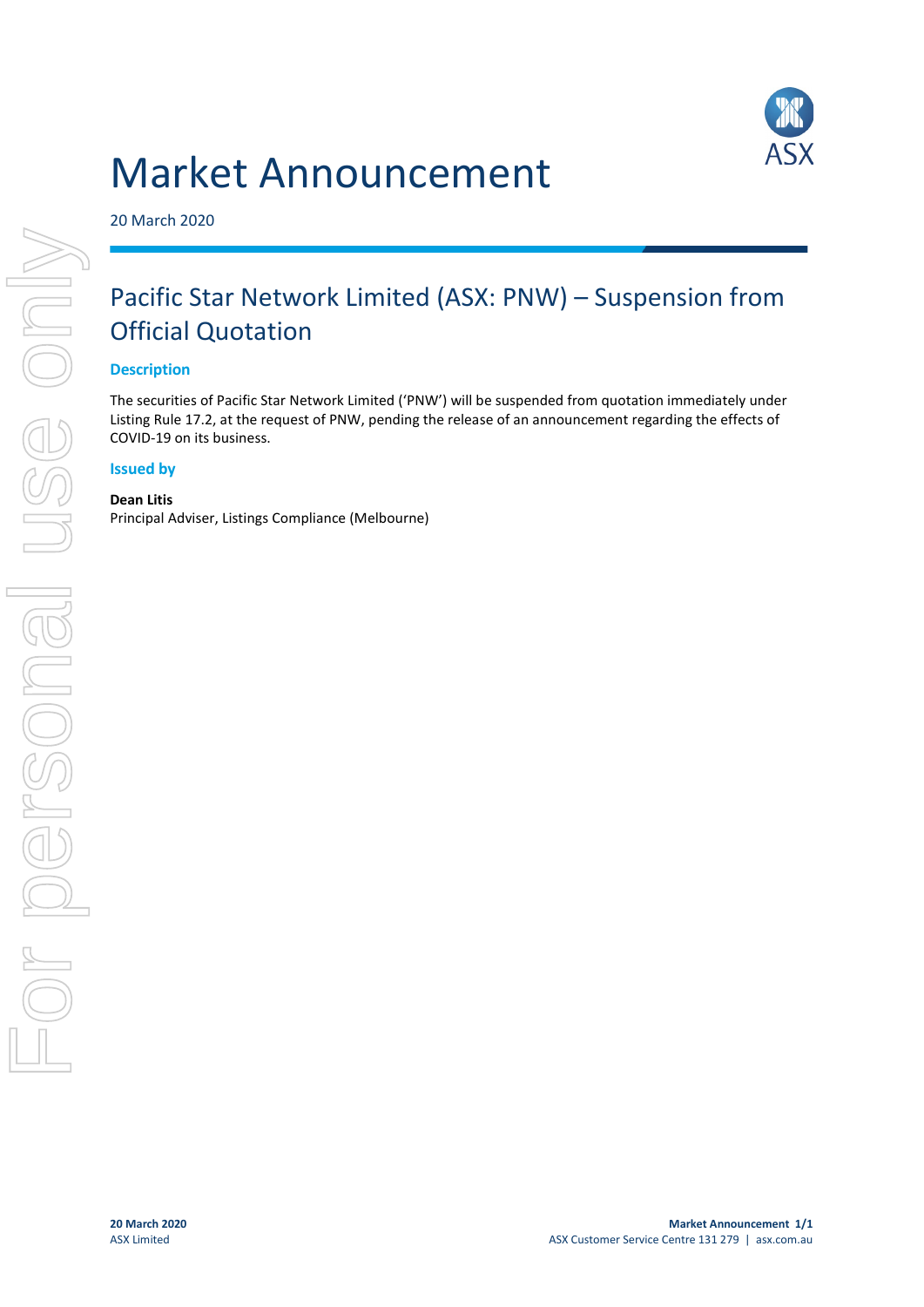# Market Announcement



20 March 2020

## Pacific Star Network Limited (ASX: PNW) – Suspension from Official Quotation

#### **Description**

The securities of Pacific Star Network Limited ('PNW') will be suspended from quotation immediately under Listing Rule 17.2, at the request of PNW, pending the release of an announcement regarding the effects of COVID-19 on its business.

#### **Issued by**

**Dean Litis**

Principal Adviser, Listings Compliance (Melbourne)